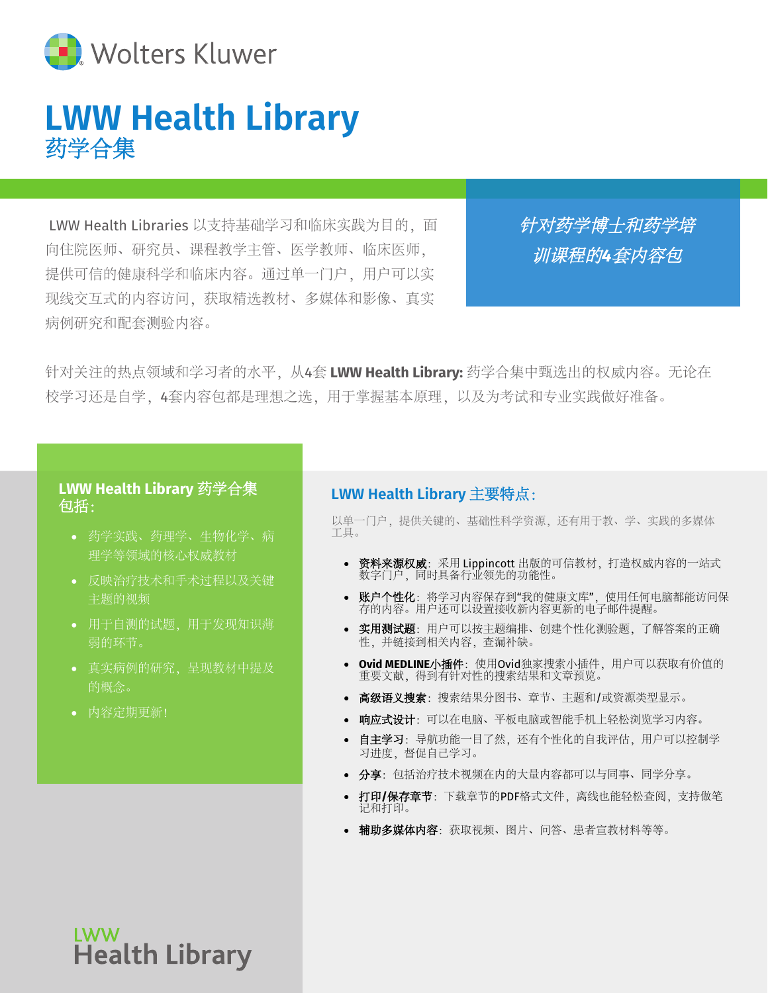

## **LWW Health Library** 药学合集

LWW Health Libraries 以支持基础学习和临床实践为目的, 面 向住院医师、研究员、课程教学主管、医学教师、临床医师, 提供可信的健康科学和临床内容。通过单一门户,用户可以实 现线交互式的内容访问,获取精选教材、多媒体和影像、真实 病例研究和配套测验内容。

针对药学博士和药学培 训课程的*4*套内容包

针对关注的热点领域和学习者的水平,从4套 **LWW Health Library:** 药学合集中甄选出的权威内容。无论在 校学习还是自学,4套内容包都是理想之选,用于掌握基本原理,以及为考试和专业实践做好准备。

#### **LWW Health Library** 药学合集 包括:

- 药学实践、药理学、生物化学、病 理学等领域的核心权威教材
- 反映治疗技术和手术过程以及关键 主题的视频
- 用于自测的试题,用于发现知识薄 弱的环节。
- 真实病例的研究,呈现教材中提及 的概念。
- 内容定期更新!

#### **LWW Health Library** 主要特点:

以单一门户,提供关键的、基础性科学资源,还有用于教、学、实践的多媒体 工具。

- 资料来源权威:采用 Lippincott 出版的可信教材,打造权威内容的一站式 数字门户,同时具备行业领先的功能性。
- 账户个性化: 将学习内容保存到"我的健康文库", 使用任何电脑都能访问保 存的内容。用户还可以设置接收新内容更新的电子邮件提醒。
- 实用测试题: 用户可以按主题编排、创建个性化测验题, 了解答案的正确 性,并链接到相关内容,查漏补缺。
- **Ovid MEDLINE**小插件:使用Ovid独家搜索小插件,用户可以获取有价值的 重要文献,得到有针对性的搜索结果和文章预览。
- 高级语义搜索:搜索结果分图书、章节、主题和/或资源类型显示。
- 响应式设计: 可以在电脑、平板电脑或智能手机上轻松浏览学习内容。
- 自主学习:导航功能一目了然,还有个性化的自我评估,用户可以控制学 习进度,督促自己学习。
- 分享:包括治疗技术视频在内的大量内容都可以与同事、同学分享。
- 打印**/**保存章节:下载章节的PDF格式文件,离线也能轻松查阅,支持做笔 记和打印。
- 辅助多媒体内容:获取视频、图片、问答、患者宣教材料等等。

**LWW Health Library**